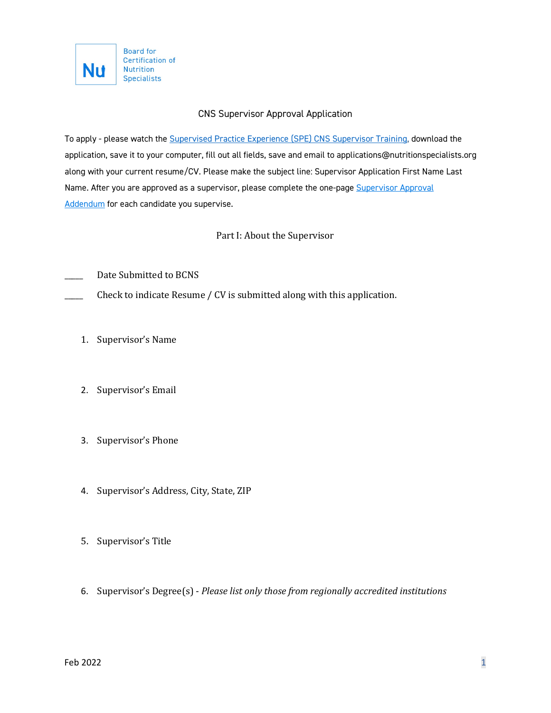

## CNS Supervisor Approval Application

To apply - please watch the [Supervised Practice Experience \(SPE\) CNS Supervisor Training,](https://theana.org/sites/default/files/2022-01/Supervisor%20Training%20Recording.mp4) download the application, save it to your computer, fill out all fields, save and email to applications@nutritionspecialists.org along with your current resume/CV. Please make the subject line: Supervisor Application First Name Last Name. After you are approved as a supervisor, please complete the one-page [Supervisor](https://theana.org/sites/default/files/2021-10/Supervisor%20Application%20Addendum.pdf) Approval [Addendum](https://theana.org/sites/default/files/2021-10/Supervisor%20Application%20Addendum.pdf) for each candidate you supervise.

## Part I: About the Supervisor

Date Submitted to BCNS

Check to indicate Resume / CV is submitted along with this application.

- 1. Supervisor's Name
- 2. Supervisor's Email
- 3. Supervisor's Phone
- 4. Supervisor's Address, City, State, ZIP
- 5. Supervisor's Title
- 6. Supervisor's Degree(s) *Please list only those from regionally accredited institutions*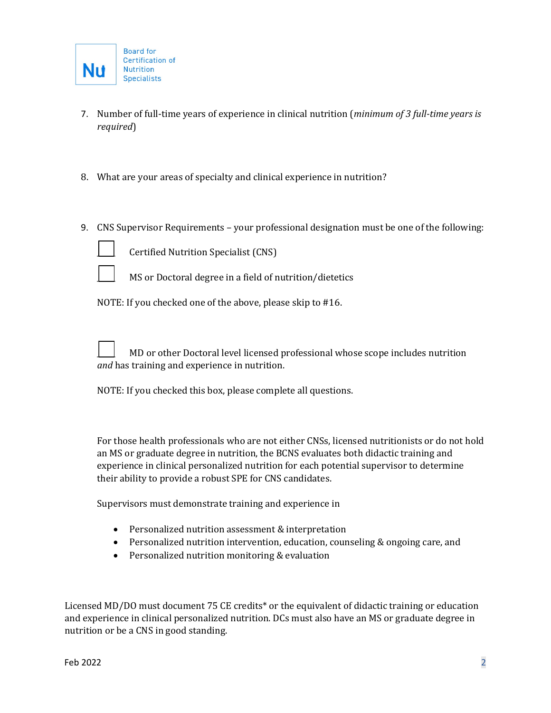- 7. Number of full-time years of experience in clinical nutrition (*minimum of 3 full-time years is required*)
- 8. What are your areas of specialty and clinical experience in nutrition?
- 9. CNS Supervisor Requirements your professional designation must be one of the following:



Certified Nutrition Specialist (CNS)



MS or Doctoral degree in a field of nutrition/dietetics

NOTE: If you checked one of the above, please skip to #16.

\_\_\_\_\_ MD or other Doctoral level licensed professional whose scope includes nutrition *and* has training and experience in nutrition.

NOTE: If you checked this box, please complete all questions.

For those health professionals who are not either CNSs, licensed nutritionists or do not hold an MS or graduate degree in nutrition, the BCNS evaluates both didactic training and experience in clinical personalized nutrition for each potential supervisor to determine their ability to provide a robust SPE for CNS candidates.

Supervisors must demonstrate training and experience in

- Personalized nutrition assessment & interpretation
- Personalized nutrition intervention, education, counseling & ongoing care, and
- Personalized nutrition monitoring & evaluation

Licensed MD/DO must document 75 CE credits\* or the equivalent of didactic training or education and experience in clinical personalized nutrition. DCs must also have an MS or graduate degree in nutrition or be a CNS in good standing.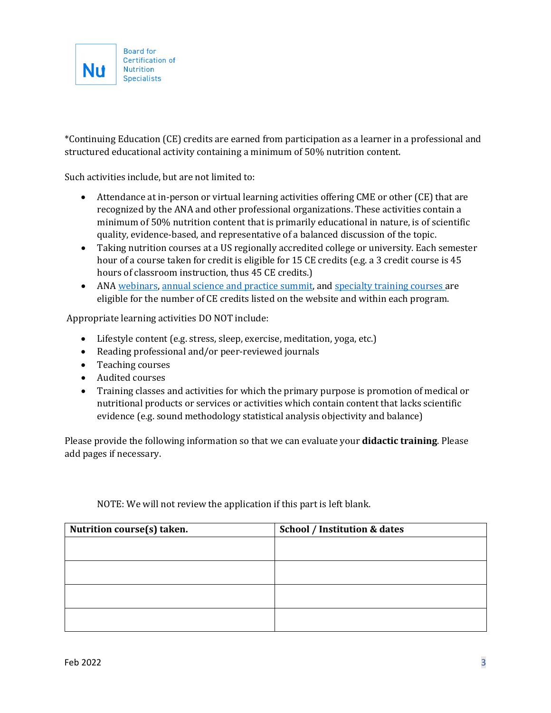

\*Continuing Education (CE) credits are earned from participation as a learner in a professional and structured educational activity containing a minimum of 50% nutrition content.

Such activities include, but are not limited to:

- Attendance at in-person or virtual learning activities offering CME or other (CE) that are recognized by the ANA and other professional organizations. These activities contain a minimum of 50% nutrition content that is primarily educational in nature, is of scientific quality, evidence-based, and representative of a balanced discussion of the topic.
- Taking nutrition courses at a US regionally accredited college or university. Each semester hour of a course taken for credit is eligible for 15 CE credits (e.g. a 3 credit course is 45 hours of classroom instruction, thus 45 CE credits.)
- AN[A webinars,](https://theana.org/events) [annual science and practice summit,](https://theana.org/personalizednutritionsummit) and [specialty training courses a](https://theana.org/trainings)re eligible for the number of CE credits listed on the website and within each program.

Appropriate learning activities DO NOT include:

- Lifestyle content (e.g. stress, sleep, exercise, meditation, yoga, etc.)
- Reading professional and/or peer-reviewed journals
- Teaching courses
- Audited courses
- Training classes and activities for which the primary purpose is promotion of medical or nutritional products or services or activities which contain content that lacks scientific evidence (e.g. sound methodology statistical analysis objectivity and balance)

Please provide the following information so that we can evaluate your **didactic training**. Please add pages if necessary.

| Nutrition course(s) taken. | <b>School / Institution &amp; dates</b> |
|----------------------------|-----------------------------------------|
|                            |                                         |
|                            |                                         |
|                            |                                         |
|                            |                                         |
|                            |                                         |

NOTE: We will not review the application if this part is left blank.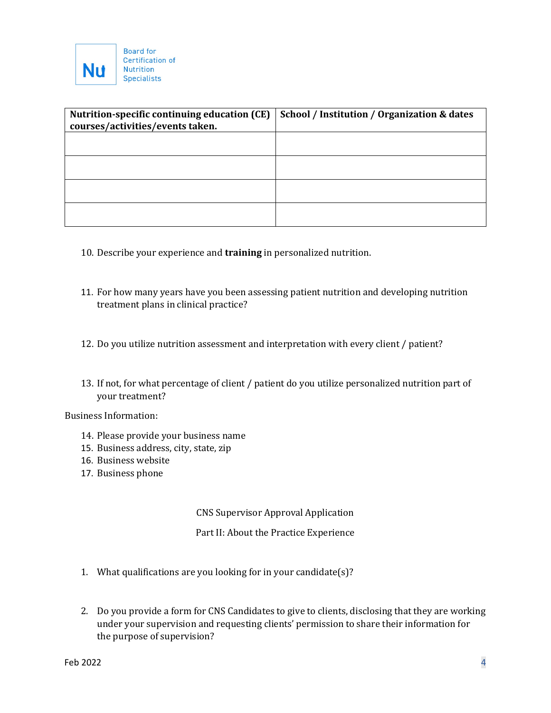

| Nutrition-specific continuing education (CE) | School / Institution / Organization & dates |
|----------------------------------------------|---------------------------------------------|
| courses/activities/events taken.             |                                             |
|                                              |                                             |
|                                              |                                             |
|                                              |                                             |
|                                              |                                             |
|                                              |                                             |
|                                              |                                             |
|                                              |                                             |
|                                              |                                             |

- 10. Describe your experience and **training** in personalized nutrition.
- 11. For how many years have you been assessing patient nutrition and developing nutrition treatment plans in clinical practice?
- 12. Do you utilize nutrition assessment and interpretation with every client / patient?
- 13. If not, for what percentage of client / patient do you utilize personalized nutrition part of your treatment?

Business Information:

- 14. Please provide your business name
- 15. Business address, city, state, zip
- 16. Business website
- 17. Business phone

CNS Supervisor Approval Application

Part II: About the Practice Experience

- 1. What qualifications are you looking for in your candidate(s)?
- 2. Do you provide a form for CNS Candidates to give to clients, disclosing that they are working under your supervision and requesting clients' permission to share their information for the purpose of supervision?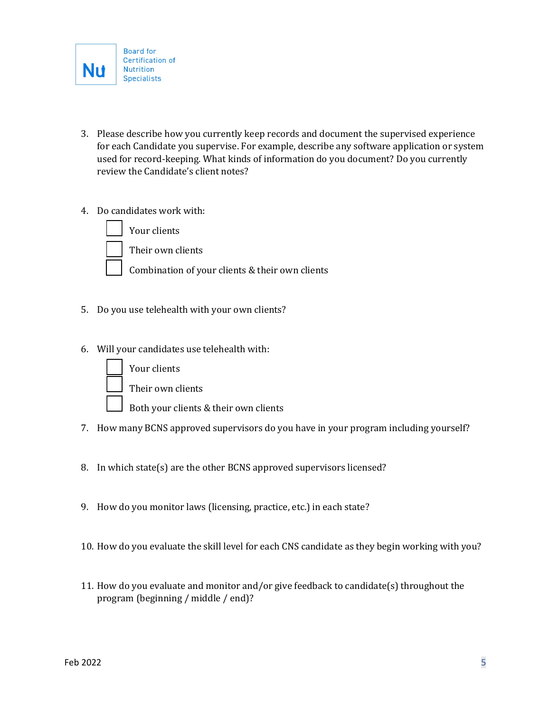

- 3. Please describe how you currently keep records and document the supervised experience for each Candidate you supervise. For example, describe any software application or system used for record-keeping. What kinds of information do you document? Do you currently review the Candidate's client notes?
- 4. Do candidates work with:

Your clients



Their own clients

Combination of your clients & their own clients

- 5. Do you use telehealth with your own clients?
- 6. Will your candidates use telehealth with:



Your clients

Their own clients

- Both your clients & their own clients
- 7. How many BCNS approved supervisors do you have in your program including yourself?
- 8. In which state(s) are the other BCNS approved supervisors licensed?
- 9. How do you monitor laws (licensing, practice, etc.) in each state?
- 10. How do you evaluate the skill level for each CNS candidate as they begin working with you?
- 11. How do you evaluate and monitor and/or give feedback to candidate(s) throughout the program (beginning / middle / end)?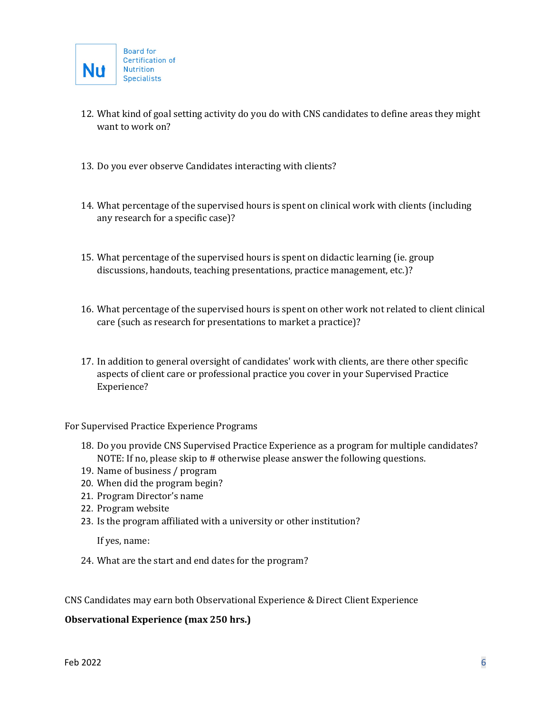- 12. What kind of goal setting activity do you do with CNS candidates to define areas they might want to work on?
- 13. Do you ever observe Candidates interacting with clients?
- 14. What percentage of the supervised hours is spent on clinical work with clients (including any research for a specific case)?
- 15. What percentage of the supervised hours is spent on didactic learning (ie. group discussions, handouts, teaching presentations, practice management, etc.)?
- 16. What percentage of the supervised hours is spent on other work not related to client clinical care (such as research for presentations to market a practice)?
- 17. In addition to general oversight of candidates' work with clients, are there other specific aspects of client care or professional practice you cover in your Supervised Practice Experience?

For Supervised Practice Experience Programs

- 18. Do you provide CNS Supervised Practice Experience as a program for multiple candidates? NOTE: If no, please skip to # otherwise please answer the following questions.
- 19. Name of business / program
- 20. When did the program begin?
- 21. Program Director's name
- 22. Program website
- 23. Is the program affiliated with a university or other institution?

If yes, name:

24. What are the start and end dates for the program?

CNS Candidates may earn both Observational Experience & Direct Client Experience

#### **Observational Experience (max 250 hrs.)**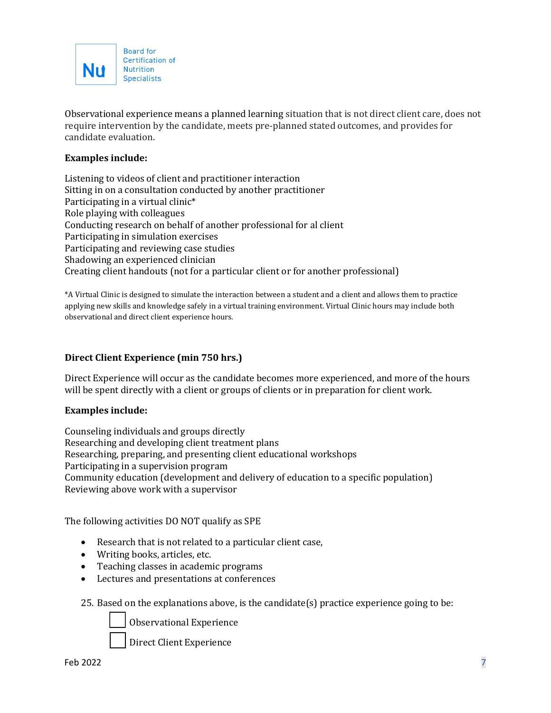

Observational experience means a planned learning situation that is not direct client care, does not require intervention by the candidate, meets pre-planned stated outcomes, and provides for candidate evaluation.

### **Examples include:**

Listening to videos of client and practitioner interaction Sitting in on a consultation conducted by another practitioner Participating in a virtual clinic\* Role playing with colleagues Conducting research on behalf of another professional for al client Participating in simulation exercises Participating and reviewing case studies Shadowing an experienced clinician Creating client handouts (not for a particular client or for another professional)

\*A Virtual Clinic is designed to simulate the interaction between a student and a client and allows them to practice applying new skills and knowledge safely in a virtual training environment. Virtual Clinic hours may include both observational and direct client experience hours.

### **Direct Client Experience (min 750 hrs.)**

Direct Experience will occur as the candidate becomes more experienced, and more of the hours will be spent directly with a client or groups of clients or in preparation for client work.

#### **Examples include:**

Counseling individuals and groups directly Researching and developing client treatment plans Researching, preparing, and presenting client educational workshops Participating in a supervision program Community education (development and delivery of education to a specific population) Reviewing above work with a supervisor

The following activities DO NOT qualify as SPE

- Research that is not related to a particular client case,
- Writing books, articles, etc.
- Teaching classes in academic programs
- Lectures and presentations at conferences
- 25. Based on the explanations above, is the candidate(s) practice experience going to be:

Observational Experience

Direct Client Experience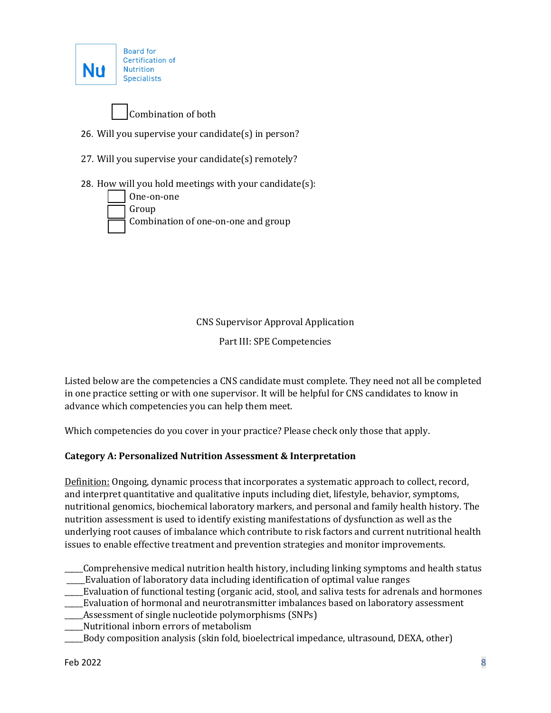



- 26. Will you supervise your candidate(s) in person?
- 27. Will you supervise your candidate(s) remotely?
- 28. How will you hold meetings with your candidate(s):



CNS Supervisor Approval Application

Part III: SPE Competencies

Listed below are the competencies a CNS candidate must complete. They need not all be completed in one practice setting or with one supervisor. It will be helpful for CNS candidates to know in advance which competencies you can help them meet.

Which competencies do you cover in your practice? Please check only those that apply.

## **Category A: Personalized Nutrition Assessment & Interpretation**

Definition: Ongoing, dynamic process that incorporates a systematic approach to collect, record, and interpret quantitative and qualitative inputs including diet, lifestyle, behavior, symptoms, nutritional genomics, biochemical laboratory markers, and personal and family health history. The nutrition assessment is used to identify existing manifestations of dysfunction as well as the underlying root causes of imbalance which contribute to risk factors and current nutritional health issues to enable effective treatment and prevention strategies and monitor improvements.

- \_\_\_\_\_Comprehensive medical nutrition health history, including linking symptoms and health status \_\_\_\_\_Evaluation of laboratory data including identification of optimal value ranges
- \_\_\_\_\_Evaluation of functional testing (organic acid, stool, and saliva tests for adrenals and hormones
- \_\_\_\_\_Evaluation of hormonal and neurotransmitter imbalances based on laboratory assessment
- Assessment of single nucleotide polymorphisms (SNPs)
- \_\_\_\_\_Nutritional inborn errors of metabolism
- \_\_\_\_\_Body composition analysis (skin fold, bioelectrical impedance, ultrasound, DEXA, other)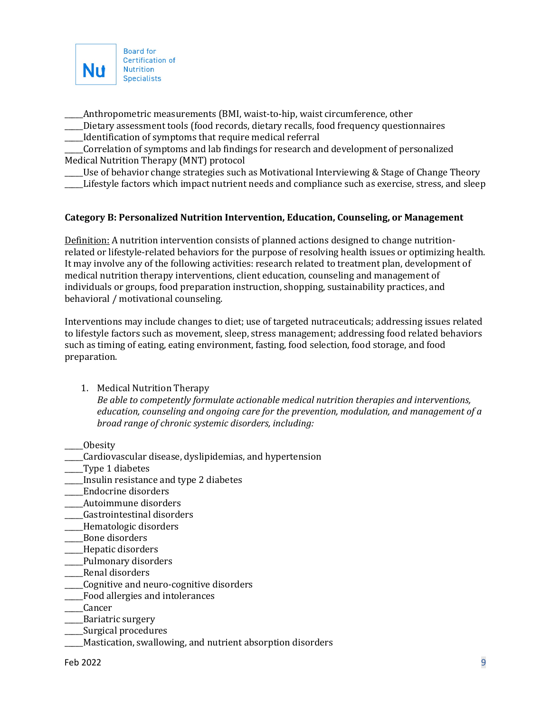

\_\_\_\_\_Anthropometric measurements (BMI, waist-to-hip, waist circumference, other

\_\_\_\_\_Dietary assessment tools (food records, dietary recalls, food frequency questionnaires \_\_\_\_\_Identification of symptoms that require medical referral

\_\_\_\_\_Correlation of symptoms and lab findings for research and development of personalized Medical Nutrition Therapy (MNT) protocol

\_\_\_\_\_Use of behavior change strategies such as Motivational Interviewing & Stage of Change Theory

Lifestyle factors which impact nutrient needs and compliance such as exercise, stress, and sleep

### **Category B: Personalized Nutrition Intervention, Education, Counseling, or Management**

Definition: A nutrition intervention consists of planned actions designed to change nutritionrelated or lifestyle-related behaviors for the purpose of resolving health issues or optimizing health. It may involve any of the following activities: research related to treatment plan, development of medical nutrition therapy interventions, client education, counseling and management of individuals or groups, food preparation instruction, shopping, sustainability practices, and behavioral / motivational counseling.

Interventions may include changes to diet; use of targeted nutraceuticals; addressing issues related to lifestyle factors such as movement, sleep, stress management; addressing food related behaviors such as timing of eating, eating environment, fasting, food selection, food storage, and food preparation.

1. Medical Nutrition Therapy

*Be able to competently formulate actionable medical nutrition therapies and interventions, education, counseling and ongoing care for the prevention, modulation, and management of a broad range of chronic systemic disorders, including:*

- \_\_\_\_\_Obesity
- \_\_\_\_\_Cardiovascular disease, dyslipidemias, and hypertension
- \_\_\_\_\_Type 1 diabetes
- \_\_\_\_\_Insulin resistance and type 2 diabetes
- \_\_\_\_\_Endocrine disorders
- \_\_\_\_\_Autoimmune disorders
- \_\_\_\_\_Gastrointestinal disorders
- \_\_\_\_\_Hematologic disorders
- \_\_\_\_\_Bone disorders
- \_\_\_\_\_Hepatic disorders
- \_\_\_\_\_Pulmonary disorders
- \_\_\_\_\_Renal disorders
- \_\_\_\_\_Cognitive and neuro-cognitive disorders
- \_\_\_\_\_Food allergies and intolerances
- \_\_\_\_\_Cancer
- \_\_\_\_\_Bariatric surgery
- \_\_\_\_\_Surgical procedures
- \_\_\_\_\_Mastication, swallowing, and nutrient absorption disorders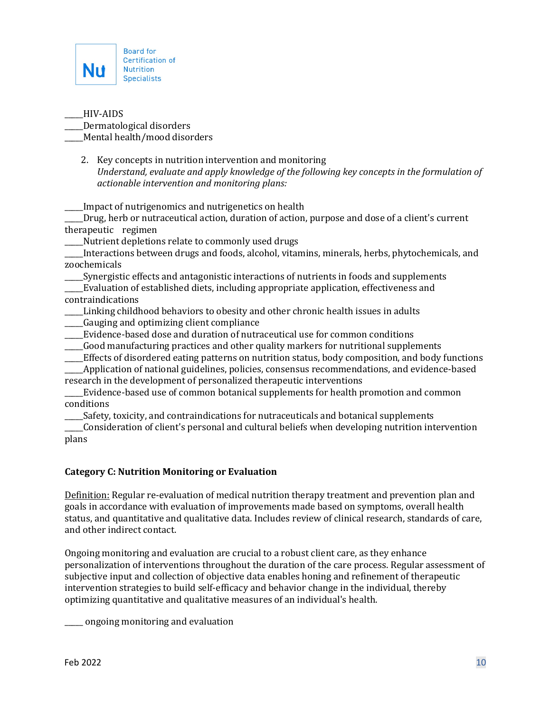

\_\_\_\_\_HIV-AIDS \_\_\_\_\_Dermatological disorders Mental health/mood disorders

2. Key concepts in nutrition intervention and monitoring *Understand, evaluate and apply knowledge of the following key concepts in the formulation of actionable intervention and monitoring plans:*

Impact of nutrigenomics and nutrigenetics on health

\_\_\_\_\_Drug, herb or nutraceutical action, duration of action, purpose and dose of a client's current therapeutic regimen

\_\_\_\_\_Nutrient depletions relate to commonly used drugs

\_\_\_\_\_Interactions between drugs and foods, alcohol, vitamins, minerals, herbs, phytochemicals, and zoochemicals

\_\_\_\_\_Synergistic effects and antagonistic interactions of nutrients in foods and supplements

\_\_\_\_\_Evaluation of established diets, including appropriate application, effectiveness and contraindications

- \_\_\_\_\_Linking childhood behaviors to obesity and other chronic health issues in adults \_\_\_\_\_Gauging and optimizing client compliance
- \_\_\_\_\_Evidence-based dose and duration of nutraceutical use for common conditions
- \_\_\_\_\_Good manufacturing practices and other quality markers for nutritional supplements
- \_\_\_\_\_Effects of disordered eating patterns on nutrition status, body composition, and body functions

\_\_\_\_\_Application of national guidelines, policies, consensus recommendations, and evidence-based research in the development of personalized therapeutic interventions

\_\_\_\_\_Evidence-based use of common botanical supplements for health promotion and common conditions

\_\_\_\_\_Safety, toxicity, and contraindications for nutraceuticals and botanical supplements

\_\_\_\_\_Consideration of client's personal and cultural beliefs when developing nutrition intervention plans

## **Category C: Nutrition Monitoring or Evaluation**

Definition: Regular re-evaluation of medical nutrition therapy treatment and prevention plan and goals in accordance with evaluation of improvements made based on symptoms, overall health status, and quantitative and qualitative data. Includes review of clinical research, standards of care, and other indirect contact.

Ongoing monitoring and evaluation are crucial to a robust client care, as they enhance personalization of interventions throughout the duration of the care process. Regular assessment of subjective input and collection of objective data enables honing and refinement of therapeutic intervention strategies to build self-efficacy and behavior change in the individual, thereby optimizing quantitative and qualitative measures of an individual's health.

ongoing monitoring and evaluation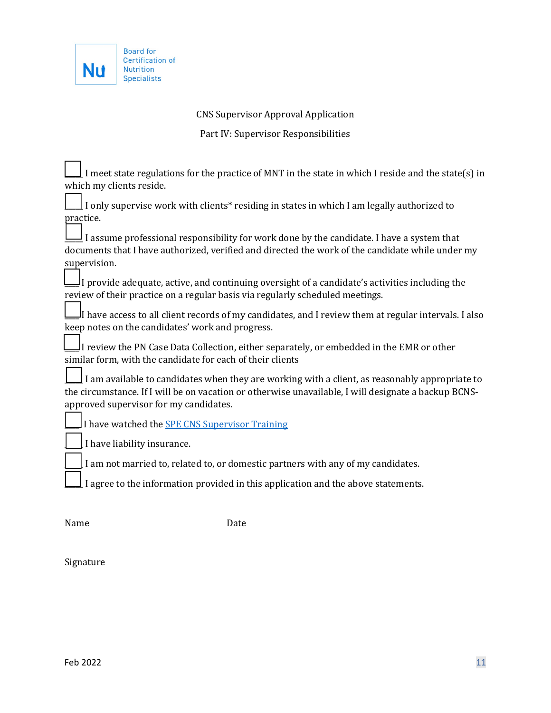

Ē

# CNS Supervisor Approval Application

Part IV: Supervisor Responsibilities

| I meet state regulations for the practice of MNT in the state in which I reside and the state(s) in                                                                                                                                              |  |  |
|--------------------------------------------------------------------------------------------------------------------------------------------------------------------------------------------------------------------------------------------------|--|--|
| which my clients reside.                                                                                                                                                                                                                         |  |  |
| I only supervise work with clients* residing in states in which I am legally authorized to                                                                                                                                                       |  |  |
| practice.                                                                                                                                                                                                                                        |  |  |
| I assume professional responsibility for work done by the candidate. I have a system that<br>documents that I have authorized, verified and directed the work of the candidate while under my                                                    |  |  |
| supervision.                                                                                                                                                                                                                                     |  |  |
| $\frac{1}{2}$ I provide adequate, active, and continuing oversight of a candidate's activities including the<br>review of their practice on a regular basis via regularly scheduled meetings.                                                    |  |  |
| I have access to all client records of my candidates, and I review them at regular intervals. I also!<br>keep notes on the candidates' work and progress.                                                                                        |  |  |
| I review the PN Case Data Collection, either separately, or embedded in the EMR or other<br>similar form, with the candidate for each of their clients                                                                                           |  |  |
| I am available to candidates when they are working with a client, as reasonably appropriate to<br>the circumstance. If I will be on vacation or otherwise unavailable, I will designate a backup BCNS-<br>approved supervisor for my candidates. |  |  |
| I have watched the <b>SPE CNS Supervisor Training</b>                                                                                                                                                                                            |  |  |
| I have liability insurance.                                                                                                                                                                                                                      |  |  |
| I am not married to, related to, or domestic partners with any of my candidates.                                                                                                                                                                 |  |  |
| I agree to the information provided in this application and the above statements.                                                                                                                                                                |  |  |
|                                                                                                                                                                                                                                                  |  |  |

Name Date

Signature